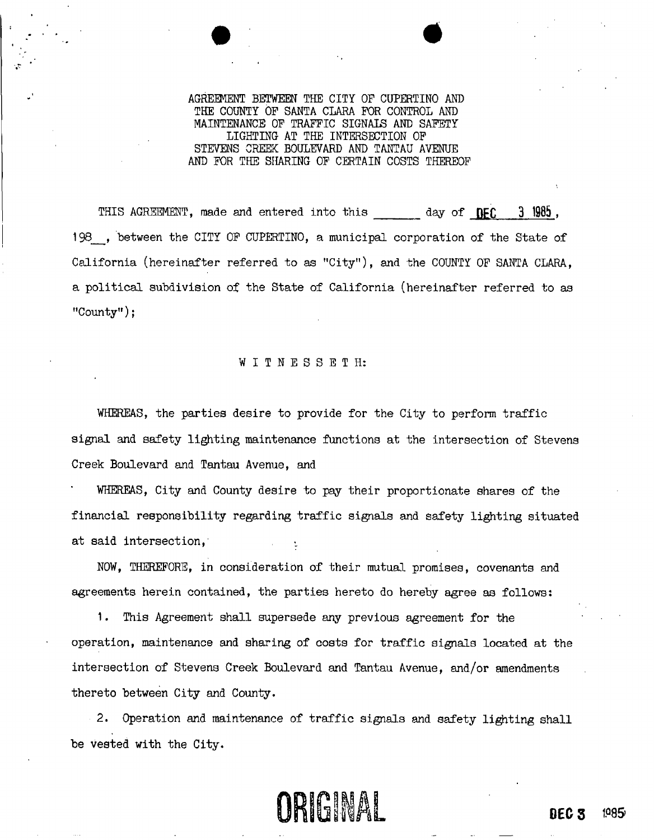## AGREMENT BETWEEN THE CITY OF CUPERTINO AND THE COUNTY OF SANTA CLARA FOR CONTROL AND MAINTENANCE OF TRAFFIC SIGNALS AND SAFETY LIGHTING AT THE INTERSECTION OF STEVENS CREEK: BOULEVARD AND TANTAU AVENUE AND FOR THE SHARING OF CERTAIN COSTS THEREOF

 $\bullet$   $\bullet$ 

THIS AGREEMENT, made and entered into this day of DEC 3 1985, 198 , between the CITY OF CUPERTINO, a municipal corporation of the State of California (hereinafter referred to as "City"), and the COUNTY OF SANTA CLARA, a political subdivision of the State of California (hereinafter referred to as "County");

#### WITNESSETH:

WHEREAS, the parties desire to provide for the City to perform traffic signal and safety lighting maintenance functions at the intersection of Stevens Creek Boulevard and Tantau Avenue, and

WHEREAS, City and County desire to pay their proportionate shares of the financial responsibility regarding traffic signals and safety lighting situated at said intersection,

NOW, THEREFORE, in consideration of their mutual promises, covenants and agreements herein contained, the parties hereto do hereby agree as follows:

1. This Agreement shall supersede any previous agreement for the operation, maintenance and sharing of costs for traffic signals located at the intersection of Stevens Creek Boulevard and Tantau Avenue, and/or amendments thereto between City and County.

2. Operation and maintenance of traffic signals and safety lighting shall be vested with the City.

# ORIGINAL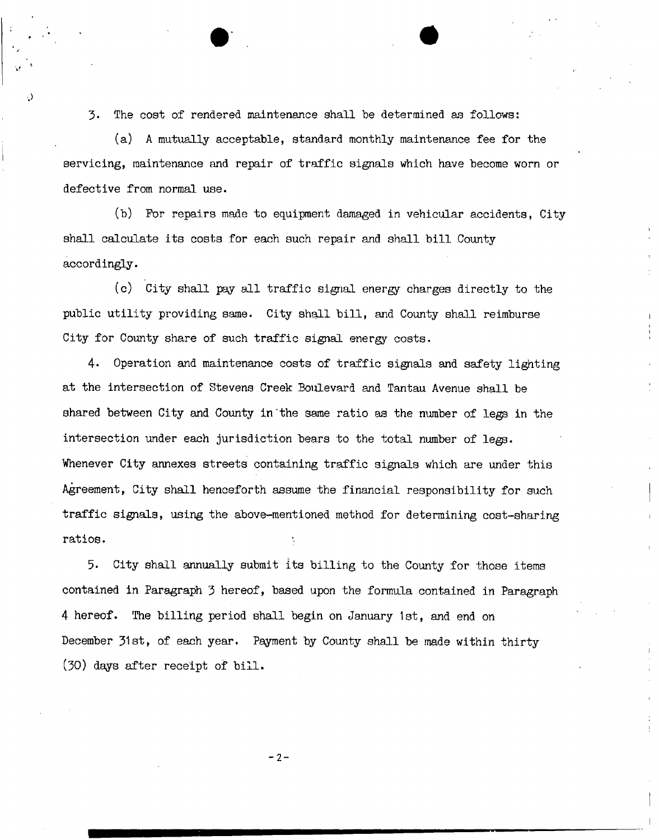3. The cost of rendered maintenance shall be determined as follows:

(a) A mutually acceptable, standard monthly maintenance fee for the servicing, maintenance and repair of traffic signals which have become worn or defective from normal use.

(b) For repairs made to equipment damaged in vehicular accidents, City shall calculate its costs for each such repair and shall bill County accordingly.

(c) City shall pay all traffic signal energy charges directly to the public utility providing same. City shall bill, and County shall reimburse City for County share of such traffic signal energy costs.

4« Operation and maintenance costs of traffic signals and safety lighting at the intersection of Stevens Creek Boulevard and Tantau Avenue shall be shared between City and County in"the same ratio as the number of legs in the intersection under each jurisdiction bears to the total number of legs. Whenever City annexes streets containing traffic signals which are under this Agreement, City shall henceforth assume the financial responsibility for such traffic signals, using the above-mentioned method for determining cost-sharing ratios.

5- City shall annually submit its billing to the County for those items contained in Paragraph 3 hereof, based upon the formula contained in Paragraph 4 hereof. The billing period shall begin on January 1st, and end on December 31st, of each year. Payment by County shall be made within thirty (30) days after receipt of bill.

 $- 2 -$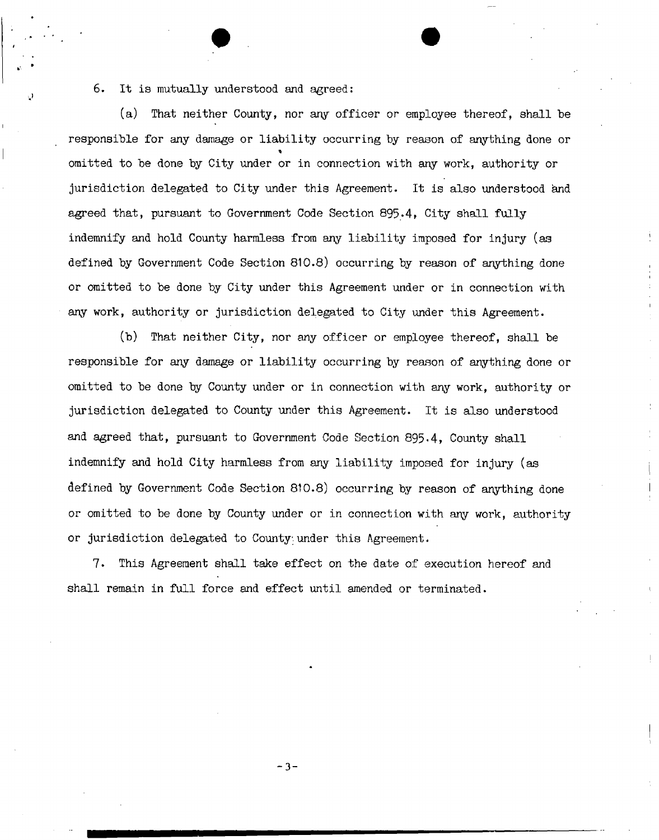## 6. It is mutually understood and agreed:

(a) That neither County, nor any officer or employee thereof, shall be responsible for any damage or liability occurring by reason of anything done or omitted to be done by City under or in connection with any work, authority or jurisdiction delegated to City under this Agreement. It is also understood and agreed that, pursuant to Government Code Section 895.4, City shall fully indemnify and hold County harmless from any liability imposed for injury (as defined by Government Code Section 810.8) occurring by reason of anything done or omitted to be done by City under this Agreement under or in connection with any work, authority or jurisdiction delegated to City under this Agreement.

(b) That neither City, nor any officer or employee thereof, shall be responsible for any damage or liability occurring by reason of anything done or omitted to be done by County under or in connection with any work, authority or jurisdiction delegated to County under this Agreement. It is also understood and agreed that, pursuant to Government Code Section 895.4, County shall indemnify and hold City harmless from any liability imposed for injury (as defined by Government Code Section 810.8) occurring by reason of anything done or omitted to be done by County under or in connection with any work, authority or jurisdiction delegated to County;.under this Agreement.

7. This Agreement shall take effect on the date of execution hereof and shall remain in full force and effect until amended or terminated.

 $- 3 -$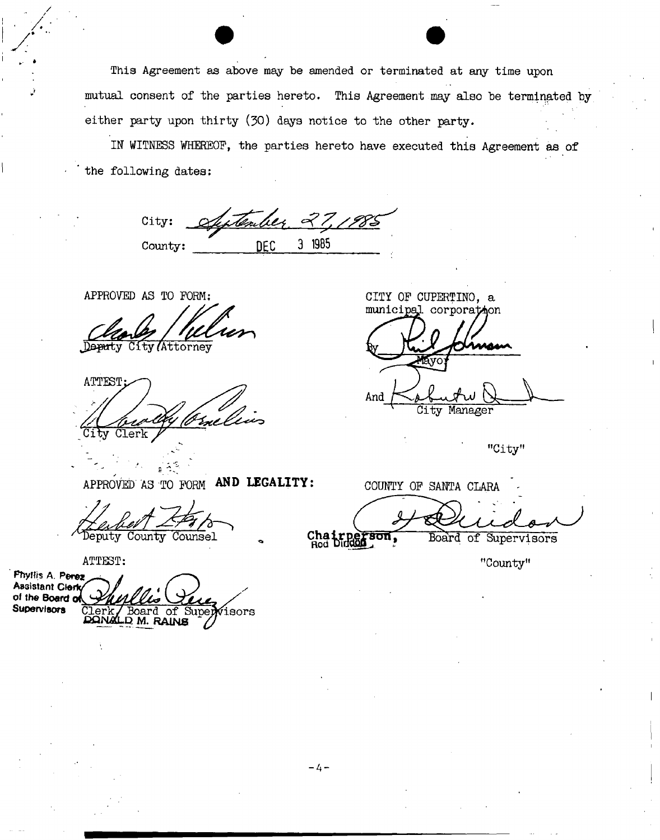This Agreement as above may be amended or terminated at any time upon mutual consent of the parties hereto. This Agreement may also be terminated by either party upon thirty (30) days notice to the other party.

IN WITNESS WHEREOF, the parties hereto have executed this Agreement as of the following dates:

Tember 27, 1985 City: County: **DEC** 3 1985

APPROVED AS TO FORM:

Attorney

ATTEST^)

CITY OF CUPERTINO, a municipal corporation

And *JUjh <sup>o</sup>* **Bu\_\ -**

City Manager

"City"

APPROVED AS TO FORM AND LEGALITY:

Deputy County Counsel

ATTEST:

Phyllis A. Perez **Assistant Clerk** of the Board of<br>Supervi<del>sors</del> Supervisors Clerk/Board of Supervisors CQNSLD. M. **RAINS** 

COUNTY OF SANTA CLARA

Chairper<br>Rod Dindon

"County"

Board of Supervisors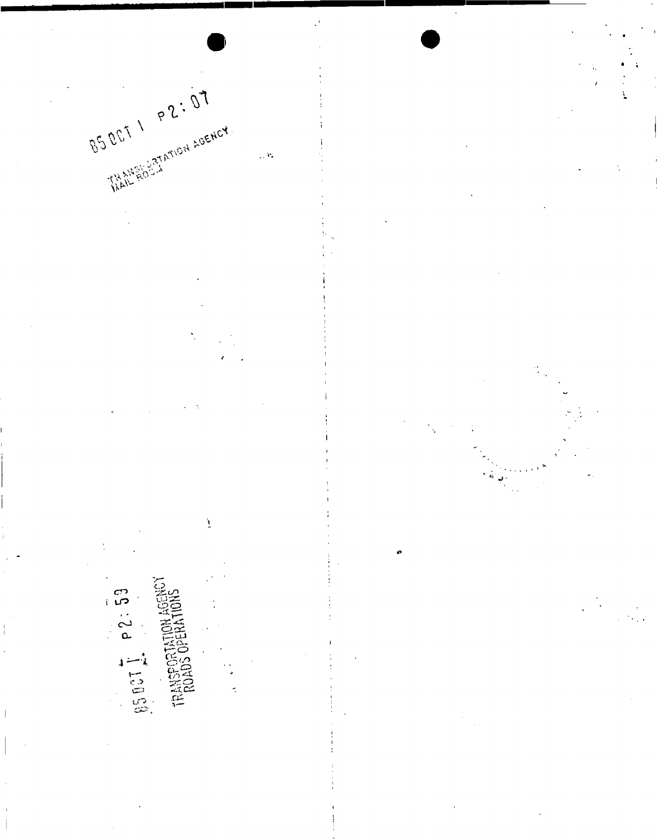



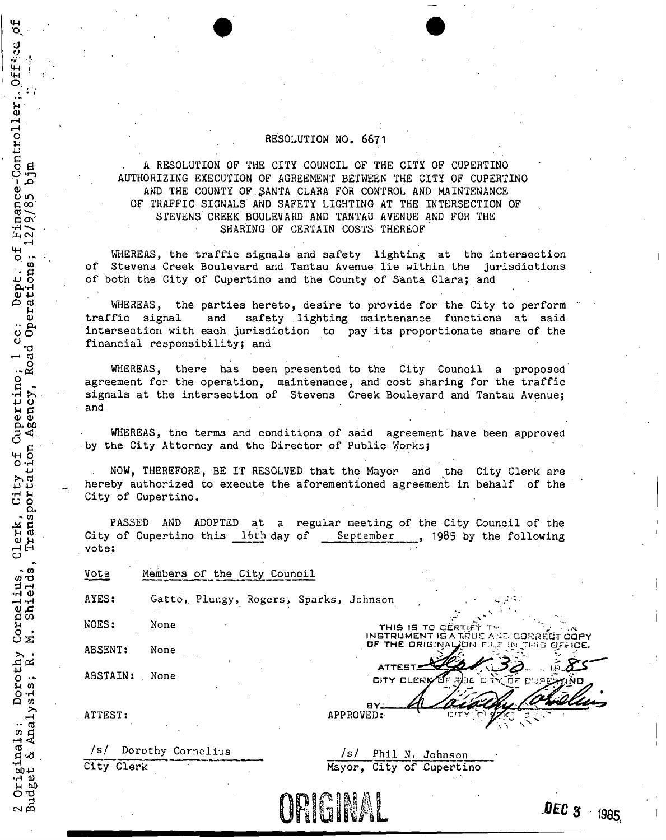### RESOLUTION NO. 6671

A RESOLUTION OF THE CITY COUNCIL OF THE CITY OF CUPERTINO AUTHORIZING EXECUTION OF AGREEMENT BETWEEN THE CITY OF CUPERTINO AND THE COUNTY OF.SANTA CLARA FOR CONTROL AND MAINTENANCE OF TRAFFIC SIGNALS AND SAFETY LIGHTING AT THE INTERSECTION OF STEVENS CREEK BOULEVARD AND TANTAU AVENUE AND FOR THE SHARING OF CERTAIN COSTS THEREOF

WHEREAS, the traffic signals and safety lighting at the intersection of Stevens Creek Boulevard and Tantau Avenue lie within the jurisdictions of both the City of Cupertino and the County of Santa Clara; and

WHEREAS, the parties hereto, desire to provide for the City to perform traffic signal and safety lighting maintenance functions at said intersection with each jurisdiction to pay its proportionate share of the financial responsibility; and

WHEREAS, there has been presented to the City Council a proposed agreement for the operation, maintenance, and cost sharing for the traffic signals at the intersection of Stevens Creek Boulevard and Tantau Avenue; and

WHEREAS, the terms and conditions, of said agreement have been approved by the City Attorney and the Director of Public Works;

NOW, THEREFORE, BE IT RESOLVED that the Mayor and the City Clerk are hereby authorized to execute the aforementioned agreement in behalf of the City of Cupertino.

PASSED AND ADOPTED at a regular meeting of the City Council of the City of Cupertino this 16th day of September , 1985 by the following vote:

| Vote     | Members of the City Council            |                                                                              |  |  |
|----------|----------------------------------------|------------------------------------------------------------------------------|--|--|
| AYES:    | Gatto, Plungy, Rogers, Sparks, Johnson |                                                                              |  |  |
| NOES:    | None                                   | THIS IS TO CERTIFY<br>$\sim$                                                 |  |  |
| ABSENT:  | None                                   | INSTRUMENT IS A TRUE AND CORRECT CO<br>OF THE ORIGINAL ON FILE IN THIS OFFIC |  |  |
| ABSTAIN: | None                                   | CITY CLERK OF THE C. TY OF DUPERTANT                                         |  |  |

/s/ Dorothy Cornelius City Clerk :

ATTEST:

14-1 •Q,

**Office** 

**0**  Finance-Contro<br>2/9/85 bjm<br><sup>2/9/85</sup> bjm

l cc: Dept.o<br>coad Operations;

<u>ດ</u>

Cornelius, C<br>M. Shields,

Dorothy

2 Originals: Dorothy<br>Budget & Analysis; R.

ِن<br>ا

*Is!* Phil N. Johnson Mayor, City of Cupertino

BY. APPROVED:



 $\overline{\text{C}}$ T COPY DE THE D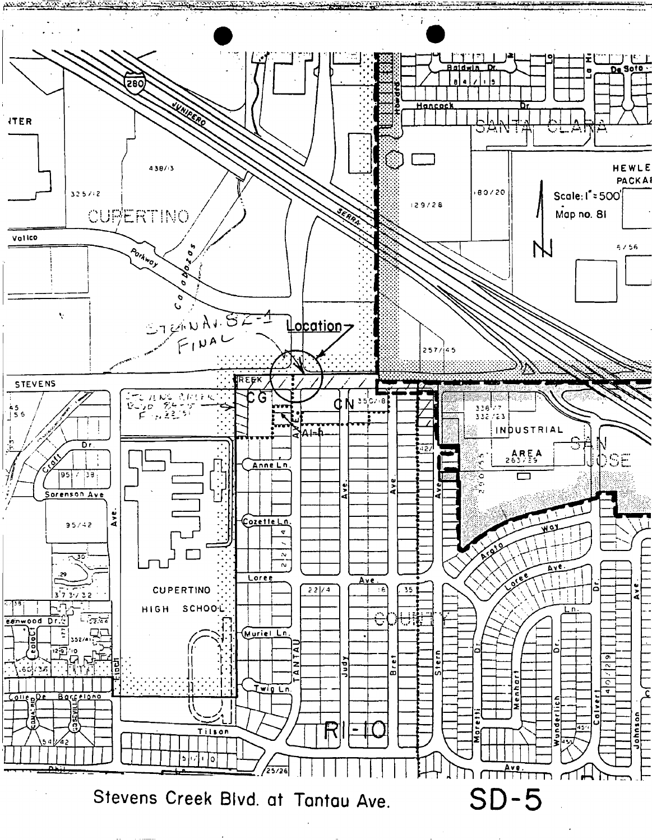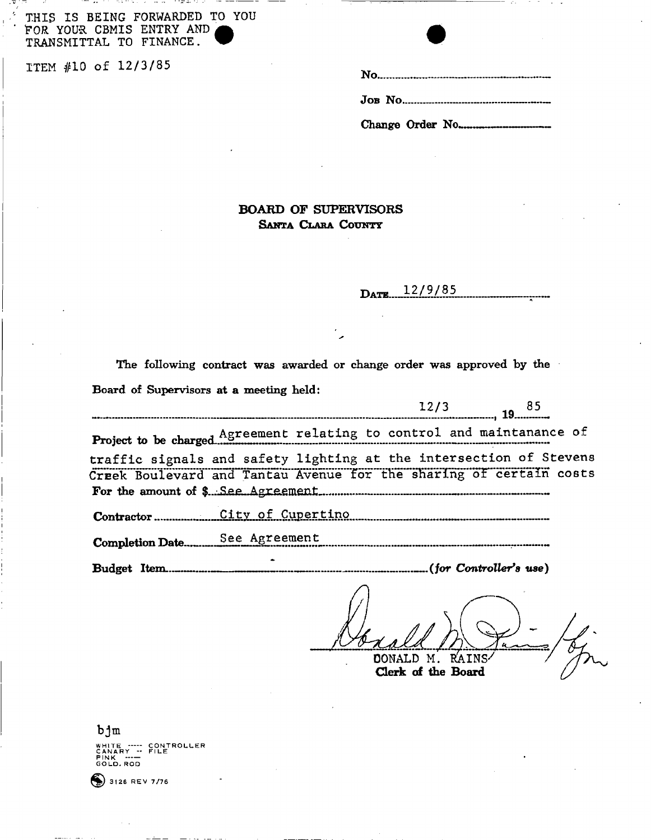THIS IS BEING FORWARDED TO YOU FOR YOUR CBMIS ENTRY AND TRANSMITTAL TO FINANCE.

ITEM #10 of 12/3/85

# **BOARD OF SUPERVISORS** SANTA CLARA COUNTY

 $12/9/85$ DATE.

The following contract was awarded or change order was approved by the Board of Supervisors at a meeting held:

| traffic signals and safety lighting at the intersection of Stevens |  |  |
|--------------------------------------------------------------------|--|--|
| Creek Boulevard and Tantau Avenue for the sharing of certain costs |  |  |
|                                                                    |  |  |
|                                                                    |  |  |
|                                                                    |  |  |
|                                                                    |  |  |
|                                                                    |  |  |

DONALD M. RAINS-

Clerk of the Board

 $bjm$ WHITE ----- CONTROLLER<br>CANARY -- FILE<br>PINK ----<br>GOLD.ROD

 $\bullet$  3128 REV 7/76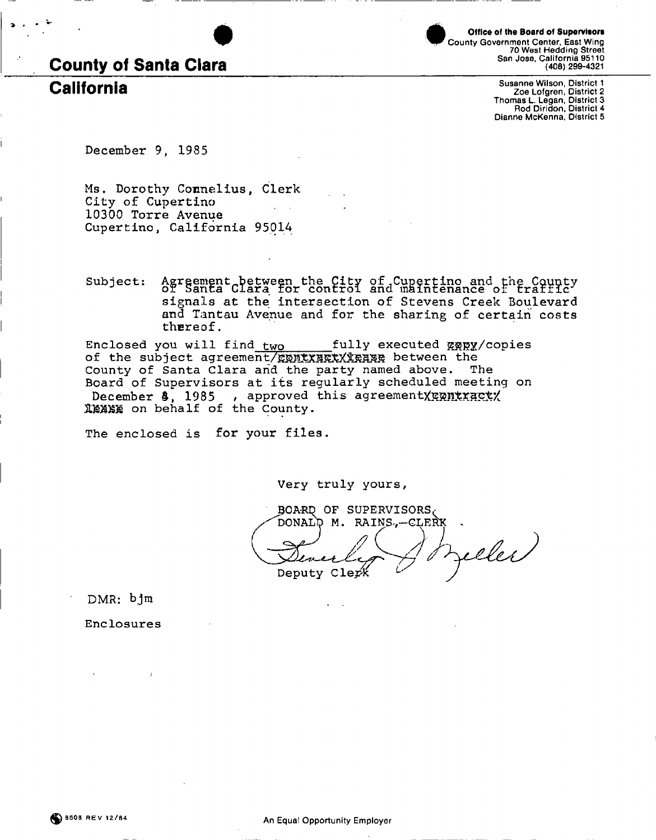

**County Government Center, East Wing 70 West Hedding Street San Jose, California 95110 (408) 299-4321**  Office of the Board of Supervisors

California **Susanne Wilson, District 1 Zoe Lofgren, District 2 Thomas L. Legan, District 3 Rod Diridon, District 4 Dianne McKenna, District 5** 

**December 9, 1985** 

**Ms. Dorothy Connelius, Clerk City of Cupertino 10300 Torre Avenue Cupertino, California 95014** 

Agreement between the City of Cupertino and the County<br>of Santa Clara for control and maintenance of traffic Subject: signals at the intersection of Stevens Creek Boulevard **and Tantau Avenue and for the sharing of certain costs thereof.** 

of the subject agreement/gontxakxXxease between the **County of Santa Clara arid the party named above. The Board of Supervisors at its regularly scheduled meeting on**   $December 3$ , 1985 , approved this agreementXxxnxxxxxx **31KXSS on behalf of the County. Enclosed you will find two fully executed** &5?]2X**/copies** 

**The enclosed is for your files.** 

**Very truly yours,** 

BOARD OF SUPERVISORS DONALD M. RAINS.-CLERK eller Deputy Clerk

**DMR : bjm** 

**Enclosures**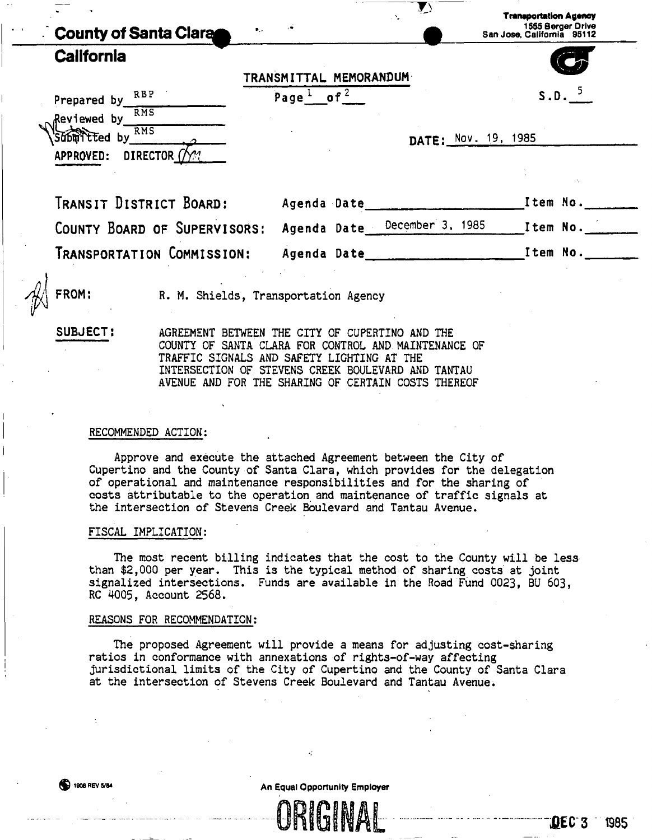| $\bullet$ .<br>County of Santa Clara                     |                                   | $\sum$<br>$\sim$             | <b>Transportation Agency</b><br>1555 Berger Drive<br>San Jose, California 95112 |
|----------------------------------------------------------|-----------------------------------|------------------------------|---------------------------------------------------------------------------------|
| <b>California</b>                                        | TRANSMITTAL MEMORANDUM            |                              |                                                                                 |
| Prepared by RBP<br><b>RMS</b><br>Reviewed by             | Page <sup>1</sup> of <sup>2</sup> |                              | $S.D.$ <sup>5</sup>                                                             |
| <b>RMS</b><br>don't ted by<br>DIRECTOR (/)?<br>APPROVED: |                                   | DATE: Nov. 19, 1985          |                                                                                 |
| TRANSIT DISTRICT BOARD:                                  | Agenda Date                       |                              | Item No.                                                                        |
| COUNTY BOARD OF SUPERVISORS:                             |                                   | Agenda Date December 3, 1985 | Item No.                                                                        |
| Transportation Commission:                               | Agenda Date __ ____               |                              | Item No.                                                                        |

R. M. Shields, Transportation Agency

**SUBJECT:** AGREEMENT BETWEEN THE CITY OF CUPERTINO AND THE COUNTY OF SANTA CLARA FOR CONTROL AND MAINTENANCE OF TRAFFIC SIGNALS AND SAFETY LIGHTING AT THE INTERSECTION OF STEVENS CREEK BOULEVARD AND TANTAU AVENUE AND FOR THE SHARING OF CERTAIN COSTS THEREOF

#### RECOMMENDED ACTION:

Approve and execute the attached Agreement between the City of Cupertino and the County of Santa Clara, which provides for the delegation of operational and maintenance responsibilities and for the sharing of costs attributable to the operation and maintenance of traffic signals at the intersection of Stevens Creek Boulevard and Tantau Avenue.

#### FISCAL IMPLICATION:

The most recent billing indicates that the cost to the County will be less than \$2,000 per year. This is the typical method of sharing costs at joint signalized intersections. Funds are available in the Road Fund 0023, BU 603, RC 4005, Account 2568.

#### REASONS FOR RECOMMENDATION:

The proposed Agreement will provide a means for adjusting cost-sharing ratios in conformance with annexations of rights-of-way affecting jurisdictional limits of the City of Cupertino and the County of Santa Clara at the intersection of Stevens Creek Boulevard and Tantau Avenue.

**1908 REV 5/84** 1908 REV 5/84